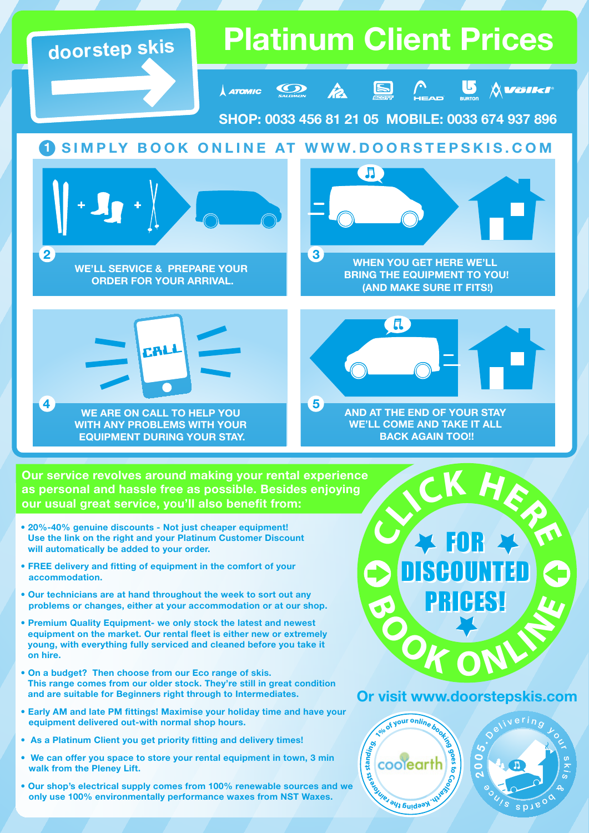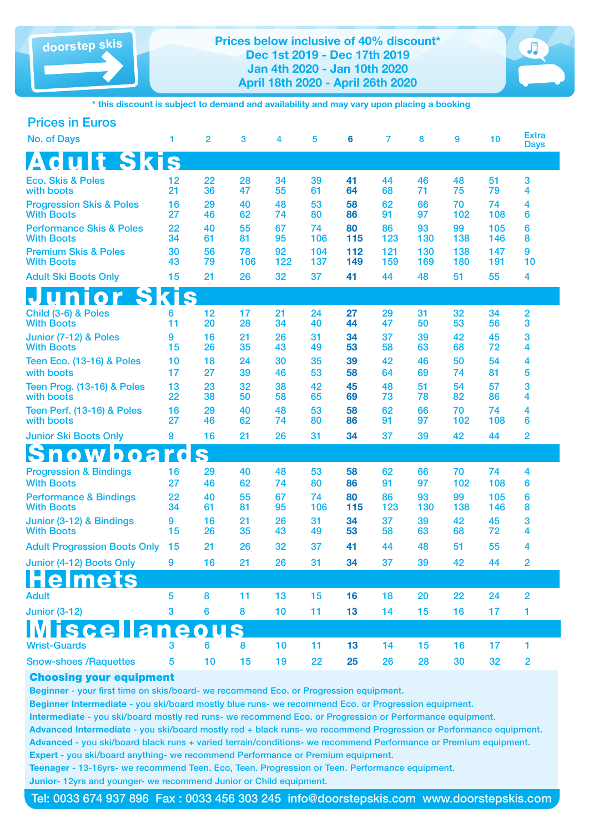**doorstep skis Prices below inclusive of 40% discount\* Dec 1st 2019 - Dec 17th 2019 Jan 4th 2020 - Jan 10th 2020 April 18th 2020 - April 26th 2020**



**\* this discount is subject to demand and availability and may vary upon placing a booking**

| <b>Prices in Euros</b>                                   |          |                |           |           |            |            |            |            |            |            |                             |
|----------------------------------------------------------|----------|----------------|-----------|-----------|------------|------------|------------|------------|------------|------------|-----------------------------|
| <b>No. of Days</b>                                       | 1        | $\overline{2}$ | 3         | 4         | 5          | 6          | 7          | 8          | 9          | 10         | <b>Extra</b><br><b>Days</b> |
| <b>Adult Skis</b>                                        |          |                |           |           |            |            |            |            |            |            |                             |
| <b>Eco. Skis &amp; Poles</b><br>with boots               | 12<br>21 | 22<br>36       | 28<br>47  | 34<br>55  | 39<br>61   | 41<br>64   | 44<br>68   | 46<br>71   | 48<br>75   | 51<br>79   | 3<br>4                      |
| <b>Progression Skis &amp; Poles</b><br><b>With Boots</b> | 16<br>27 | 29<br>46       | 40<br>62  | 48<br>74  | 53<br>80   | 58<br>86   | 62<br>91   | 66<br>97   | 70<br>102  | 74<br>108  | 4<br>6                      |
| <b>Performance Skis &amp; Poles</b><br><b>With Boots</b> | 22<br>34 | 40<br>61       | 55<br>81  | 67<br>95  | 74<br>106  | 80<br>115  | 86<br>123  | 93<br>130  | 99<br>138  | 105<br>146 | 6<br>8                      |
| <b>Premium Skis &amp; Poles</b><br><b>With Boots</b>     | 30<br>43 | 56<br>79       | 78<br>106 | 92<br>122 | 104<br>137 | 112<br>149 | 121<br>159 | 130<br>169 | 138<br>180 | 147<br>191 | 9<br>10                     |
| <b>Adult Ski Boots Only</b>                              | 15       | 21             | 26        | 32        | 37         | 41         | 44         | 48         | 51         | 55         | 4                           |
| unior Skis                                               |          |                |           |           |            |            |            |            |            |            |                             |
| Child (3-6) & Poles<br><b>With Boots</b>                 | 6<br>11  | 12<br>20       | 17<br>28  | 21<br>34  | 24<br>40   | 27<br>44   | 29<br>47   | 31<br>50   | 32<br>53   | 34<br>56   | 2<br>3                      |
| Junior (7-12) & Poles<br><b>With Boots</b>               | 9<br>15  | 16<br>26       | 21<br>35  | 26<br>43  | 31<br>49   | 34<br>53   | 37<br>58   | 39<br>63   | 42<br>68   | 45<br>72   | 3<br>4                      |
| <b>Teen Eco. (13-16) &amp; Poles</b><br>with boots       | 10<br>17 | 18<br>27       | 24<br>39  | 30<br>46  | 35<br>53   | 39<br>58   | 42<br>64   | 46<br>69   | 50<br>74   | 54<br>81   | 4<br>5                      |
| Teen Prog. (13-16) & Poles<br>with boots                 | 13<br>22 | 23<br>38       | 32<br>50  | 38<br>58  | 42<br>65   | 45<br>69   | 48<br>73   | 51<br>78   | 54<br>82   | 57<br>86   | 3<br>4                      |
| <b>Teen Perf. (13-16) &amp; Poles</b><br>with boots      | 16<br>27 | 29<br>46       | 40<br>62  | 48<br>74  | 53<br>80   | 58<br>86   | 62<br>91   | 66<br>97   | 70<br>102  | 74<br>108  | 4<br>6                      |
| <b>Junior Ski Boots Only</b>                             | 9        | 16             | 21        | 26        | 31         | 34         | 37         | 39         | 42         | 44         | 2                           |
| <b>Snowboard</b>                                         |          | S              |           |           |            |            |            |            |            |            |                             |
| <b>Progression &amp; Bindings</b><br><b>With Boots</b>   | 16<br>27 | 29<br>46       | 40<br>62  | 48<br>74  | 53<br>80   | 58<br>86   | 62<br>91   | 66<br>97   | 70<br>102  | 74<br>108  | 4<br>6                      |
| <b>Performance &amp; Bindings</b><br><b>With Boots</b>   | 22<br>34 | 40<br>61       | 55<br>81  | 67<br>95  | 74<br>106  | 80<br>115  | 86<br>123  | 93<br>130  | 99<br>138  | 105<br>146 | 6<br>8                      |
| Junior (3-12) & Bindings<br><b>With Boots</b>            | 9<br>15  | 16<br>26       | 21<br>35  | 26<br>43  | 31<br>49   | 34<br>53   | 37<br>58   | 39<br>63   | 42<br>68   | 45<br>72   | 3<br>4                      |
| <b>Adult Progression Boots Only</b>                      | 15       | 21             | 26        | 32        | 37         | 41         | 44         | 48         | 51         | 55         | 4                           |
| Junior (4-12) Boots Only                                 | 9        | 16             | 21        | 26        | 31         | 34         | 37         | 39         | 42         | 44         | $\overline{2}$              |
| mets                                                     |          |                |           |           |            |            |            |            |            |            |                             |
| <b>Adult</b>                                             | 5        | 8              | 11        | 13        | 15         | 16         | 18         | 20         | 22         | 24         | $\overline{2}$              |
| <b>Junior (3-12)</b>                                     | 3        | 6              | 8         | 10        | 11         | 13         | 14         | 15         | 16         | 17         | 1                           |
| scel<br><u>1a</u>                                        | e        |                |           |           |            |            |            |            |            |            |                             |
| <b>Wrist-Guards</b>                                      | 3        | 6              | 8         | 10        | 11         | 13         | 14         | 15         | 16         | 17         | 1                           |
| <b>Snow-shoes /Raquettes</b>                             | 5        | 10             | 15        | 19        | 22         | 25         | 26         | 28         | 30         | 32         | $\overline{2}$              |

### Choosing your equipment

Beginner - your first time on skis/board- we recommend Eco. or Progression equipment.

Beginner Intermediate - you ski/board mostly blue runs- we recommend Eco. or Progression equipment.

Intermediate - you ski/board mostly red runs- we recommend Eco. or Progression or Performance equipment.

Advanced Intermediate - you ski/board mostly red + black runs- we recommend Progression or Performance equipment. Advanced - you ski/board black runs + varied terrain/conditions- we recommend Performance or Premium equipment. Expert - you ski/board anything- we recommend Performance or Premium equipment.

Teenager - 13-16yrs- we recommend Teen. Eco, Teen. Progression or Teen. Performance equipment. Junior- 12yrs and younger- we recommend Junior or Child equipment.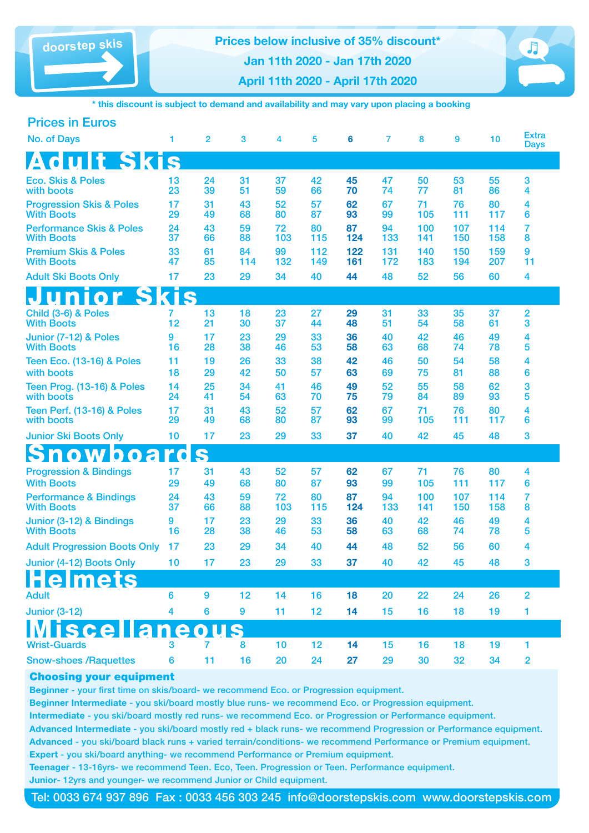**doorstep skis Prices below inclusive of 35% discount\* Jan 11th 2020 - Jan 17th 2020**

**April 11th 2020 - April 17th 2020**



**\* this discount is subject to demand and availability and may vary upon placing a booking**

| <b>Prices in Euros</b>                                   |                         |                |           |           |            |            |            |            |            |            |                             |
|----------------------------------------------------------|-------------------------|----------------|-----------|-----------|------------|------------|------------|------------|------------|------------|-----------------------------|
| <b>No. of Days</b>                                       | 1                       | $\overline{2}$ | 3         | 4         | 5          | 6          | 7          | 8          | 9          | 10         | <b>Extra</b><br><b>Days</b> |
| <b>Adult Skis</b>                                        |                         |                |           |           |            |            |            |            |            |            |                             |
| <b>Eco. Skis &amp; Poles</b><br>with boots               | 13<br>23                | 24<br>39       | 31<br>51  | 37<br>59  | 42<br>66   | 45<br>70   | 47<br>74   | 50<br>77   | 53<br>81   | 55<br>86   | 3<br>4                      |
| <b>Progression Skis &amp; Poles</b><br><b>With Boots</b> | 17<br>29                | 31<br>49       | 43<br>68  | 52<br>80  | 57<br>87   | 62<br>93   | 67<br>99   | 71<br>105  | 76<br>111  | 80<br>117  | 4<br>6                      |
| <b>Performance Skis &amp; Poles</b><br><b>With Boots</b> | 24<br>37                | 43<br>66       | 59<br>88  | 72<br>103 | 80<br>115  | 87<br>124  | 94<br>133  | 100<br>141 | 107<br>150 | 114<br>158 | 7<br>8                      |
| <b>Premium Skis &amp; Poles</b><br><b>With Boots</b>     | 33<br>47                | 61<br>85       | 84<br>114 | 99<br>132 | 112<br>149 | 122<br>161 | 131<br>172 | 140<br>183 | 150<br>194 | 159<br>207 | 9<br>11                     |
| <b>Adult Ski Boots Only</b>                              | 17                      | 23             | 29        | 34        | 40         | 44         | 48         | 52         | 56         | 60         | 4                           |
| unior Skis                                               |                         |                |           |           |            |            |            |            |            |            |                             |
| Child (3-6) & Poles<br><b>With Boots</b>                 | 7<br>12                 | 13<br>21       | 18<br>30  | 23<br>37  | 27<br>44   | 29<br>48   | 31<br>51   | 33<br>54   | 35<br>58   | 37<br>61   | 2<br>3                      |
| Junior (7-12) & Poles<br><b>With Boots</b>               | 9<br>16                 | 17<br>28       | 23<br>38  | 29<br>46  | 33<br>53   | 36<br>58   | 40<br>63   | 42<br>68   | 46<br>74   | 49<br>78   | 4<br>5                      |
| <b>Teen Eco. (13-16) &amp; Poles</b><br>with boots       | 11<br>18                | 19<br>29       | 26<br>42  | 33<br>50  | 38<br>57   | 42<br>63   | 46<br>69   | 50<br>75   | 54<br>81   | 58<br>88   | 4<br>6                      |
| <b>Teen Prog. (13-16) &amp; Poles</b><br>with boots      | 14<br>24                | 25<br>41       | 34<br>54  | 41<br>63  | 46<br>70   | 49<br>75   | 52<br>79   | 55<br>84   | 58<br>89   | 62<br>93   | 3<br>5                      |
| <b>Teen Perf. (13-16) &amp; Poles</b><br>with boots      | 17<br>29                | 31<br>49       | 43<br>68  | 52<br>80  | 57<br>87   | 62<br>93   | 67<br>99   | 71<br>105  | 76<br>111  | 80<br>117  | 4<br>6                      |
| <b>Junior Ski Boots Only</b>                             | 10                      | 17             | 23        | 29        | 33         | 37         | 40         | 42         | 45         | 48         | 3                           |
| <b>Snowboard</b>                                         |                         | S              |           |           |            |            |            |            |            |            |                             |
| <b>Progression &amp; Bindings</b><br><b>With Boots</b>   | 17<br>29                | 31<br>49       | 43<br>68  | 52<br>80  | 57<br>87   | 62<br>93   | 67<br>99   | 71<br>105  | 76<br>111  | 80<br>117  | 4<br>6                      |
| <b>Performance &amp; Bindings</b><br><b>With Boots</b>   | 24<br>37                | 43<br>66       | 59<br>88  | 72<br>103 | 80<br>115  | 87<br>124  | 94<br>133  | 100<br>141 | 107<br>150 | 114<br>158 | 7<br>8                      |
| Junior (3-12) & Bindings<br><b>With Boots</b>            | 9<br>16                 | 17<br>28       | 23<br>38  | 29<br>46  | 33<br>53   | 36<br>58   | 40<br>63   | 42<br>68   | 46<br>74   | 49<br>78   | 4<br>5                      |
| <b>Adult Progression Boots Only</b>                      | 17                      | 23             | 29        | 34        | 40         | 44         | 48         | 52         | 56         | 60         | 4                           |
| Junior (4-12) Boots Only                                 | 10                      | 17             | 23        | 29        | 33         | 37         | 40         | 42         | 45         | 48         | $\mathbf{3}$                |
| mets                                                     |                         |                |           |           |            |            |            |            |            |            |                             |
| <b>Adult</b>                                             | 6                       | 9              | 12        | 14        | 16         | 18         | 20         | 22         | 24         | 26         | $\overline{2}$              |
| <b>Junior (3-12)</b>                                     | $\overline{\mathbf{4}}$ | 6              | 9         | 11        | 12         | 14         | 15         | 16         | 18         | 19         | 1                           |
|                                                          |                         |                |           |           |            |            |            |            |            |            |                             |
| <b>Wrist-Guards</b>                                      | 3                       | 7              | 8         | 10        | 12         | 14         | 15         | 16         | 18         | 19         | 1                           |
| <b>Snow-shoes / Raquettes</b>                            | 6                       | 11             | 16        | 20        | 24         | 27         | 29         | 30         | 32         | 34         | $\overline{2}$              |

## Choosing your equipment

Beginner - your first time on skis/board- we recommend Eco. or Progression equipment.

Beginner Intermediate - you ski/board mostly blue runs- we recommend Eco. or Progression equipment.

Intermediate - you ski/board mostly red runs- we recommend Eco. or Progression or Performance equipment.

Advanced Intermediate - you ski/board mostly red + black runs- we recommend Progression or Performance equipment. Advanced - you ski/board black runs + varied terrain/conditions- we recommend Performance or Premium equipment. Expert - you ski/board anything- we recommend Performance or Premium equipment.

Teenager - 13-16yrs- we recommend Teen. Eco, Teen. Progression or Teen. Performance equipment. Junior- 12yrs and younger- we recommend Junior or Child equipment.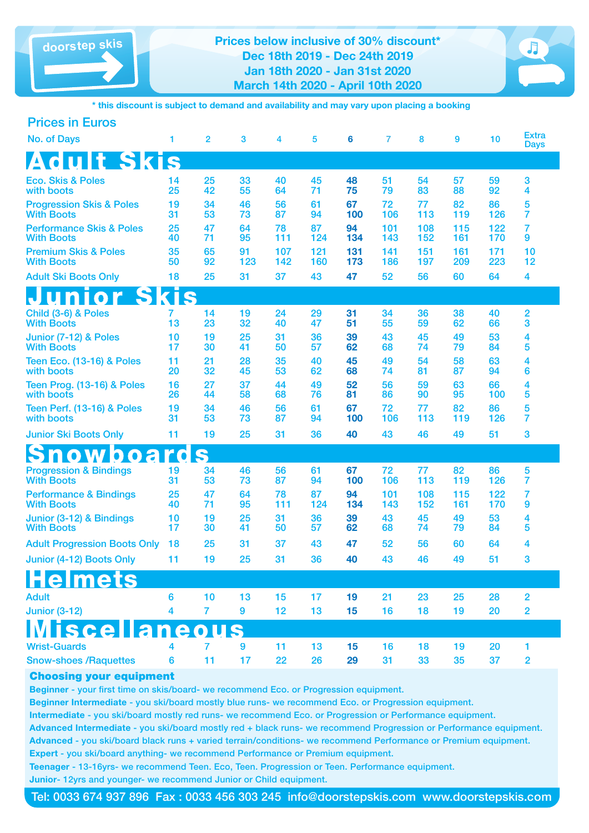**doorstep skis Prices below inclusive of 30% discount\* Dec 18th 2019 - Dec 24th 2019 Jan 18th 2020 - Jan 31st 2020 March 14th 2020 - April 10th 2020**



**\* this discount is subject to demand and availability and may vary upon placing a booking**

| <b>Prices in Euros</b>                                   |                         |                |                  |            |            |            |            |            |            |            |                             |
|----------------------------------------------------------|-------------------------|----------------|------------------|------------|------------|------------|------------|------------|------------|------------|-----------------------------|
| <b>No. of Days</b>                                       | 1                       | $\overline{2}$ | 3                | 4          | 5          | 6          | 7          | 8          | 9          | 10         | <b>Extra</b><br><b>Days</b> |
| <b>Adult Skis</b>                                        |                         |                |                  |            |            |            |            |            |            |            |                             |
| <b>Eco. Skis &amp; Poles</b><br>with boots               | 14<br>25                | 25<br>42       | 33<br>55         | 40<br>64   | 45<br>71   | 48<br>75   | 51<br>79   | 54<br>83   | 57<br>88   | 59<br>92   | 3<br>4                      |
| <b>Progression Skis &amp; Poles</b><br><b>With Boots</b> | 19<br>31                | 34<br>53       | 46<br>73         | 56<br>87   | 61<br>94   | 67<br>100  | 72<br>106  | 77<br>113  | 82<br>119  | 86<br>126  | 5<br>7                      |
| <b>Performance Skis &amp; Poles</b><br><b>With Boots</b> | 25<br>40                | 47<br>71       | 64<br>95         | 78<br>111  | 87<br>124  | 94<br>134  | 101<br>143 | 108<br>152 | 115<br>161 | 122<br>170 | $\overline{7}$<br>9         |
| <b>Premium Skis &amp; Poles</b><br><b>With Boots</b>     | 35<br>50                | 65<br>92       | 91<br>123        | 107<br>142 | 121<br>160 | 131<br>173 | 141<br>186 | 151<br>197 | 161<br>209 | 171<br>223 | 10<br>12                    |
| <b>Adult Ski Boots Only</b>                              | 18                      | 25             | 31               | 37         | 43         | 47         | 52         | 56         | 60         | 64         | 4                           |
| unior Skis                                               |                         |                |                  |            |            |            |            |            |            |            |                             |
| Child (3-6) & Poles<br><b>With Boots</b>                 | 7<br>13                 | 14<br>23       | 19<br>32         | 24<br>40   | 29<br>47   | 31<br>51   | 34<br>55   | 36<br>59   | 38<br>62   | 40<br>66   | 2<br>3                      |
| Junior (7-12) & Poles<br><b>With Boots</b>               | 10<br>17                | 19<br>30       | 25<br>41         | 31<br>50   | 36<br>57   | 39<br>62   | 43<br>68   | 45<br>74   | 49<br>79   | 53<br>84   | 4<br>5                      |
| <b>Teen Eco. (13-16) &amp; Poles</b><br>with boots       | 11<br>20                | 21<br>32       | 28<br>45         | 35<br>53   | 40<br>62   | 45<br>68   | 49<br>74   | 54<br>81   | 58<br>87   | 63<br>94   | 4<br>6                      |
| Teen Prog. (13-16) & Poles<br>with boots                 | 16<br>26                | 27<br>44       | 37<br>58         | 44<br>68   | 49<br>76   | 52<br>81   | 56<br>86   | 59<br>90   | 63<br>95   | 66<br>100  | 4<br>5                      |
| <b>Teen Perf. (13-16) &amp; Poles</b><br>with boots      | 19<br>31                | 34<br>53       | 46<br>73         | 56<br>87   | 61<br>94   | 67<br>100  | 72<br>106  | 77<br>113  | 82<br>119  | 86<br>126  | 5<br>7                      |
| <b>Junior Ski Boots Only</b>                             | 11                      | 19             | 25               | 31         | 36         | 40         | 43         | 46         | 49         | 51         | 3                           |
| <b>Showboard</b>                                         |                         | S              |                  |            |            |            |            |            |            |            |                             |
| <b>Progression &amp; Bindings</b><br><b>With Boots</b>   | 19<br>31                | 34<br>53       | 46<br>73         | 56<br>87   | 61<br>94   | 67<br>100  | 72<br>106  | 77<br>113  | 82<br>119  | 86<br>126  | 5<br>7                      |
| <b>Performance &amp; Bindings</b><br><b>With Boots</b>   | 25<br>40                | 47<br>71       | 64<br>95         | 78<br>111  | 87<br>124  | 94<br>134  | 101<br>143 | 108<br>152 | 115<br>161 | 122<br>170 | 7<br>9                      |
| Junior (3-12) & Bindings<br><b>With Boots</b>            | 10<br>17                | 19<br>30       | 25<br>41         | 31<br>50   | 36<br>57   | 39<br>62   | 43<br>68   | 45<br>74   | 49<br>79   | 53<br>84   | 4<br>5                      |
| <b>Adult Progression Boots Only</b>                      | 18                      | 25             | 31               | 37         | 43         | 47         | 52         | 56         | 60         | 64         | 4                           |
| Junior (4-12) Boots Only 11                              |                         | 19             | 25               | 31         | 36         | 40         | 43         | 46         | 49         | 51         | 3                           |
| elmets                                                   |                         |                |                  |            |            |            |            |            |            |            |                             |
| <b>Adult</b>                                             | $6\phantom{a}$          | 10             | 13               | 15         | 17         | 19         | 21         | 23         | 25         | 28         | $\overline{2}$              |
| <b>Junior (3-12)</b>                                     | $\overline{\mathbf{4}}$ | $\overline{7}$ | $\boldsymbol{9}$ | 12         | 13         | 15         | 16         | 18         | 19         | 20         | 2                           |
| <u>iscella</u>                                           | neo                     |                |                  |            |            |            |            |            |            |            |                             |
| <b>Wrist-Guards</b>                                      | 4                       | 7              | $\boldsymbol{9}$ | 11         | 13         | 15         | 16         | 18         | 19         | 20         | 1                           |
| <b>Snow-shoes /Raquettes</b>                             | 6                       | 11             | 17               | 22         | 26         | 29         | 31         | 33         | 35         | 37         | $\overline{2}$              |

# Choosing your equipment

Beginner - your first time on skis/board- we recommend Eco. or Progression equipment.

Beginner Intermediate - you ski/board mostly blue runs- we recommend Eco. or Progression equipment.

Intermediate - you ski/board mostly red runs- we recommend Eco. or Progression or Performance equipment.

Advanced Intermediate - you ski/board mostly red + black runs- we recommend Progression or Performance equipment. Advanced - you ski/board black runs + varied terrain/conditions- we recommend Performance or Premium equipment. Expert - you ski/board anything- we recommend Performance or Premium equipment.

Teenager - 13-16yrs- we recommend Teen. Eco, Teen. Progression or Teen. Performance equipment. Junior- 12yrs and younger- we recommend Junior or Child equipment.

Tel: 0033 674 937 896 Fax : 0033 456 303 245 info@doorstepskis.com www.doorstepskis.com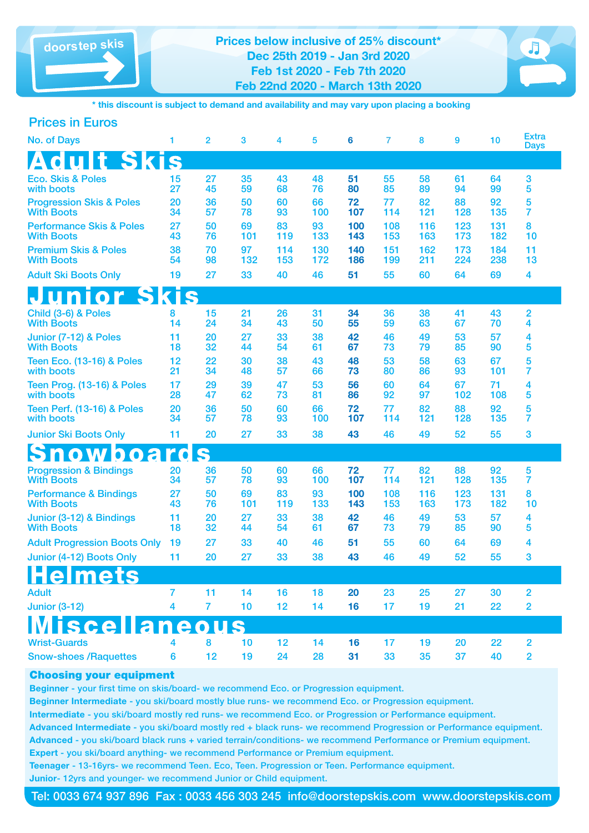



**\* this discount is subject to demand and availability and may vary upon placing a booking**

| <b>Prices in Euros</b> |  |
|------------------------|--|
|                        |  |

| <b>No. of Days</b>                                       | 1        | $\overline{2}$ | 3         | 4          | 5          | 6          | 7          | 8          | 9          | 10         | <b>Extra</b><br><b>Days</b> |  |
|----------------------------------------------------------|----------|----------------|-----------|------------|------------|------------|------------|------------|------------|------------|-----------------------------|--|
| dult Skis<br>$\boldsymbol{\Delta}$                       |          |                |           |            |            |            |            |            |            |            |                             |  |
| <b>Eco. Skis &amp; Poles</b><br>with boots               | 15<br>27 | 27<br>45       | 35<br>59  | 43<br>68   | 48<br>76   | 51<br>80   | 55<br>85   | 58<br>89   | 61<br>94   | 64<br>99   | 3<br>5                      |  |
| <b>Progression Skis &amp; Poles</b><br><b>With Boots</b> | 20<br>34 | 36<br>57       | 50<br>78  | 60<br>93   | 66<br>100  | 72<br>107  | 77<br>114  | 82<br>121  | 88<br>128  | 92<br>135  | 5<br>$\overline{7}$         |  |
| <b>Performance Skis &amp; Poles</b><br><b>With Boots</b> | 27<br>43 | 50<br>76       | 69<br>101 | 83<br>119  | 93<br>133  | 100<br>143 | 108<br>153 | 116<br>163 | 123<br>173 | 131<br>182 | 8<br>10                     |  |
| <b>Premium Skis &amp; Poles</b><br><b>With Boots</b>     | 38<br>54 | 70<br>98       | 97<br>132 | 114<br>153 | 130<br>172 | 140<br>186 | 151<br>199 | 162<br>211 | 173<br>224 | 184<br>238 | 11<br>13                    |  |
| <b>Adult Ski Boots Only</b>                              | 19       | 27             | 33        | 40         | 46         | 51         | 55         | 60         | 64         | 69         | 4                           |  |
| <b>Junior Skis</b>                                       |          |                |           |            |            |            |            |            |            |            |                             |  |
| Child (3-6) & Poles<br><b>With Boots</b>                 | 8<br>14  | 15<br>24       | 21<br>34  | 26<br>43   | 31<br>50   | 34<br>55   | 36<br>59   | 38<br>63   | 41<br>67   | 43<br>70   | $\overline{2}$<br>4         |  |
| Junior (7-12) & Poles<br><b>With Boots</b>               | 11<br>18 | 20<br>32       | 27<br>44  | 33<br>54   | 38<br>61   | 42<br>67   | 46<br>73   | 49<br>79   | 53<br>85   | 57<br>90   | 4<br>5                      |  |
| <b>Teen Eco. (13-16) &amp; Poles</b><br>with boots       | 12<br>21 | 22<br>34       | 30<br>48  | 38<br>57   | 43<br>66   | 48<br>73   | 53<br>80   | 58<br>86   | 63<br>93   | 67<br>101  | 5<br>7                      |  |
| Teen Prog. (13-16) & Poles<br>with boots                 | 17<br>28 | 29<br>47       | 39<br>62  | 47<br>73   | 53<br>81   | 56<br>86   | 60<br>92   | 64<br>97   | 67<br>102  | 71<br>108  | 4<br>5                      |  |
| <b>Teen Perf. (13-16) &amp; Poles</b><br>with boots      | 20<br>34 | 36<br>57       | 50<br>78  | 60<br>93   | 66<br>100  | 72<br>107  | 77<br>114  | 82<br>121  | 88<br>128  | 92<br>135  | 5<br>7                      |  |
| <b>Junior Ski Boots Only</b>                             | 11       | 20             | 27        | 33         | 38         | 43         | 46         | 49         | 52         | 55         | 3                           |  |
| nowboards                                                |          |                |           |            |            |            |            |            |            |            |                             |  |
| <b>Progression &amp; Bindings</b><br><b>With Boots</b>   | 20<br>34 | 36<br>57       | 50<br>78  | 60<br>93   | 66<br>100  | 72<br>107  | 77<br>114  | 82<br>121  | 88<br>128  | 92<br>135  | 5<br>$\overline{7}$         |  |
| <b>Performance &amp; Bindings</b><br><b>With Boots</b>   | 27<br>43 | 50<br>76       | 69<br>101 | 83<br>119  | 93<br>133  | 100<br>143 | 108<br>153 | 116<br>163 | 123<br>173 | 131<br>182 | 8<br>10                     |  |
| Junior (3-12) & Bindings<br><b>With Boots</b>            | 11<br>18 | 20<br>32       | 27<br>44  | 33<br>54   | 38<br>61   | 42<br>67   | 46<br>73   | 49<br>79   | 53<br>85   | 57<br>90   | 4<br>5                      |  |
| <b>Adult Progression Boots Only</b>                      | 19       | 27             | 33        | 40         | 46         | 51         | 55         | 60         | 64         | 69         | 4                           |  |
| Junior (4-12) Boots Only                                 | 11       | 20             | 27        | 33         | 38         | 43         | 46         | 49         | 52         | 55         | 3                           |  |
| <b>Helmets</b>                                           |          |                |           |            |            |            |            |            |            |            |                             |  |
| <b>Adult</b>                                             | 7        | 11             | 14        | 16         | 18         | 20         | 23         | 25         | 27         | 30         | $\overline{2}$              |  |
| <b>Junior (3-12)</b>                                     | 4        | $\overline{7}$ | 10        | 12         | 14         | 16         | 17         | 19         | 21         | 22         | $\overline{2}$              |  |
| <b>iscellaneous</b>                                      |          |                |           |            |            |            |            |            |            |            |                             |  |
| <b>Wrist-Guards</b>                                      |          | 8              | 10        | 12         | 14         | 16         | 17         | 19         | 20         | 22         | 2                           |  |
| <b>Snow-shoes / Raquettes</b>                            | 6        | 12             | 19        | 24         | 28         | 31         | 33         | 35         | 37         | 40         | $\overline{2}$              |  |

#### Choosing your equipment

Beginner - your first time on skis/board- we recommend Eco. or Progression equipment.

Beginner Intermediate - you ski/board mostly blue runs- we recommend Eco. or Progression equipment.

Intermediate - you ski/board mostly red runs- we recommend Eco. or Progression or Performance equipment.

Advanced Intermediate - you ski/board mostly red + black runs- we recommend Progression or Performance equipment. Advanced - you ski/board black runs + varied terrain/conditions- we recommend Performance or Premium equipment. Expert - you ski/board anything- we recommend Performance or Premium equipment.

Teenager - 13-16yrs- we recommend Teen. Eco, Teen. Progression or Teen. Performance equipment.

Junior- 12yrs and younger- we recommend Junior or Child equipment.